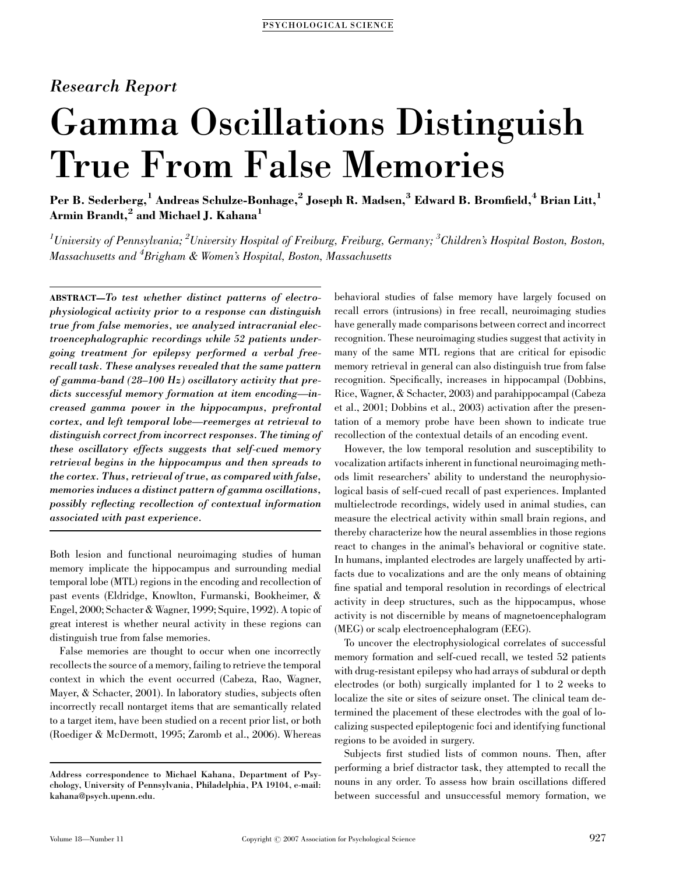# Research Report

# Gamma Oscillations Distinguish True From False Memories

Per B. Sederberg,<sup>1</sup> Andreas Schulze-Bonhage,<sup>2</sup> Joseph R. Madsen,<sup>3</sup> Edward B. Bromfield,<sup>4</sup> Brian Litt,<sup>1</sup> Armin Brandt,<sup>2</sup> and Michael J. Kahana<sup>1</sup>

 $^1$ University of Pennsylvania;  $^2$ University Hospital of Freiburg, Freiburg, Germany;  $^3$ Children's Hospital Boston, Boston, Massachusetts and  ${}^4B$ righam & Women's Hospital, Boston, Massachusetts

ABSTRACT—To test whether distinct patterns of electrophysiological activity prior to a response can distinguish true from false memories, we analyzed intracranial electroencephalographic recordings while 52 patients undergoing treatment for epilepsy performed a verbal freerecall task. These analyses revealed that the same pattern of gamma-band (28–100 Hz) oscillatory activity that predicts successful memory formation at item encoding—increased gamma power in the hippocampus, prefrontal cortex, and left temporal lobe—reemerges at retrieval to distinguish correct from incorrect responses. The timing of these oscillatory effects suggests that self-cued memory retrieval begins in the hippocampus and then spreads to the cortex. Thus, retrieval of true, as compared with false, memories induces a distinct pattern of gamma oscillations, possibly reflecting recollection of contextual information associated with past experience.

Both lesion and functional neuroimaging studies of human memory implicate the hippocampus and surrounding medial temporal lobe (MTL) regions in the encoding and recollection of past events (Eldridge, Knowlton, Furmanski, Bookheimer, & Engel, 2000; Schacter & Wagner, 1999; Squire, 1992). A topic of great interest is whether neural activity in these regions can distinguish true from false memories.

False memories are thought to occur when one incorrectly recollects the source of a memory, failing to retrieve the temporal context in which the event occurred (Cabeza, Rao, Wagner, Mayer, & Schacter, 2001). In laboratory studies, subjects often incorrectly recall nontarget items that are semantically related to a target item, have been studied on a recent prior list, or both (Roediger & McDermott, 1995; Zaromb et al., 2006). Whereas

behavioral studies of false memory have largely focused on recall errors (intrusions) in free recall, neuroimaging studies have generally made comparisons between correct and incorrect recognition. These neuroimaging studies suggest that activity in many of the same MTL regions that are critical for episodic memory retrieval in general can also distinguish true from false recognition. Specifically, increases in hippocampal (Dobbins, Rice, Wagner, & Schacter, 2003) and parahippocampal (Cabeza et al., 2001; Dobbins et al., 2003) activation after the presentation of a memory probe have been shown to indicate true recollection of the contextual details of an encoding event.

However, the low temporal resolution and susceptibility to vocalization artifacts inherent in functional neuroimaging methods limit researchers' ability to understand the neurophysiological basis of self-cued recall of past experiences. Implanted multielectrode recordings, widely used in animal studies, can measure the electrical activity within small brain regions, and thereby characterize how the neural assemblies in those regions react to changes in the animal's behavioral or cognitive state. In humans, implanted electrodes are largely unaffected by artifacts due to vocalizations and are the only means of obtaining fine spatial and temporal resolution in recordings of electrical activity in deep structures, such as the hippocampus, whose activity is not discernible by means of magnetoencephalogram (MEG) or scalp electroencephalogram (EEG).

To uncover the electrophysiological correlates of successful memory formation and self-cued recall, we tested 52 patients with drug-resistant epilepsy who had arrays of subdural or depth electrodes (or both) surgically implanted for 1 to 2 weeks to localize the site or sites of seizure onset. The clinical team determined the placement of these electrodes with the goal of localizing suspected epileptogenic foci and identifying functional regions to be avoided in surgery.

Subjects first studied lists of common nouns. Then, after performing a brief distractor task, they attempted to recall the nouns in any order. To assess how brain oscillations differed between successful and unsuccessful memory formation, we

Address correspondence to Michael Kahana, Department of Psychology, University of Pennsylvania, Philadelphia, PA 19104, e-mail: kahana@psych.upenn.edu.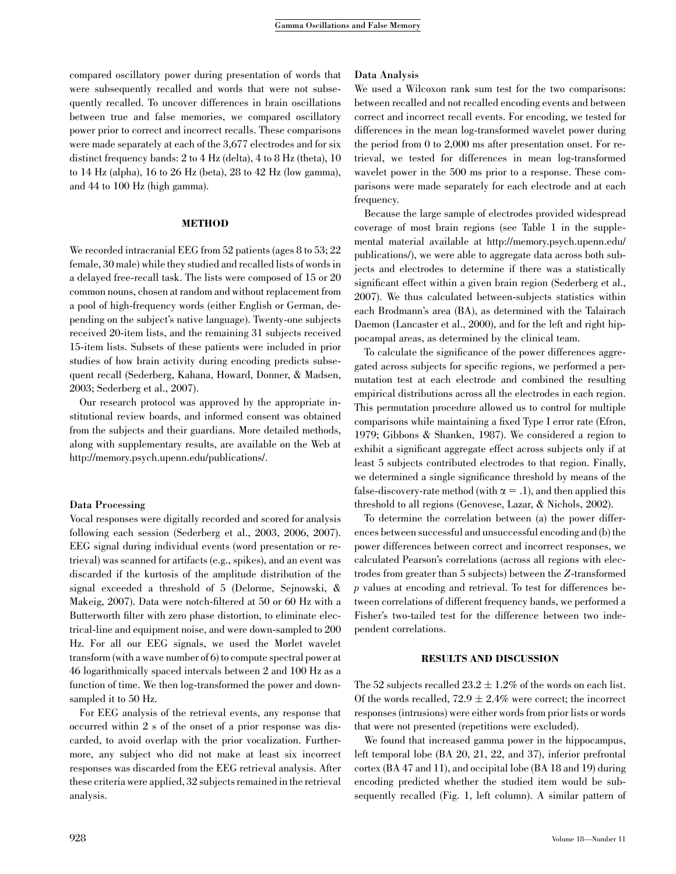compared oscillatory power during presentation of words that were subsequently recalled and words that were not subsequently recalled. To uncover differences in brain oscillations between true and false memories, we compared oscillatory power prior to correct and incorrect recalls. These comparisons were made separately at each of the 3,677 electrodes and for six distinct frequency bands: 2 to 4 Hz (delta), 4 to 8 Hz (theta), 10 to 14 Hz (alpha), 16 to 26 Hz (beta), 28 to 42 Hz (low gamma), and 44 to 100 Hz (high gamma).

#### **METHOD**

We recorded intracranial EEG from 52 patients (ages 8 to 53; 22 female, 30 male) while they studied and recalled lists of words in a delayed free-recall task. The lists were composed of 15 or 20 common nouns, chosen at random and without replacement from a pool of high-frequency words (either English or German, depending on the subject's native language). Twenty-one subjects received 20-item lists, and the remaining 31 subjects received 15-item lists. Subsets of these patients were included in prior studies of how brain activity during encoding predicts subsequent recall (Sederberg, Kahana, Howard, Donner, & Madsen, 2003; Sederberg et al., 2007).

Our research protocol was approved by the appropriate institutional review boards, and informed consent was obtained from the subjects and their guardians. More detailed methods, along with supplementary results, are available on the Web at http://memory.psych.upenn.edu/publications/.

## Data Processing

Vocal responses were digitally recorded and scored for analysis following each session (Sederberg et al., 2003, 2006, 2007). EEG signal during individual events (word presentation or retrieval) was scanned for artifacts (e.g., spikes), and an event was discarded if the kurtosis of the amplitude distribution of the signal exceeded a threshold of 5 (Delorme, Sejnowski, & Makeig, 2007). Data were notch-filtered at 50 or 60 Hz with a Butterworth filter with zero phase distortion, to eliminate electrical-line and equipment noise, and were down-sampled to 200 Hz. For all our EEG signals, we used the Morlet wavelet transform (with a wave number of 6) to compute spectral power at 46 logarithmically spaced intervals between 2 and 100 Hz as a function of time. We then log-transformed the power and downsampled it to 50 Hz.

For EEG analysis of the retrieval events, any response that occurred within 2 s of the onset of a prior response was discarded, to avoid overlap with the prior vocalization. Furthermore, any subject who did not make at least six incorrect responses was discarded from the EEG retrieval analysis. After these criteria were applied, 32 subjects remained in the retrieval analysis.

### Data Analysis

We used a Wilcoxon rank sum test for the two comparisons: between recalled and not recalled encoding events and between correct and incorrect recall events. For encoding, we tested for differences in the mean log-transformed wavelet power during the period from 0 to 2,000 ms after presentation onset. For retrieval, we tested for differences in mean log-transformed wavelet power in the 500 ms prior to a response. These comparisons were made separately for each electrode and at each frequency.

Because the large sample of electrodes provided widespread coverage of most brain regions (see Table 1 in the supplemental material available at http://memory.psych.upenn.edu/ publications/), we were able to aggregate data across both subjects and electrodes to determine if there was a statistically significant effect within a given brain region (Sederberg et al., 2007). We thus calculated between-subjects statistics within each Brodmann's area (BA), as determined with the Talairach Daemon (Lancaster et al., 2000), and for the left and right hippocampal areas, as determined by the clinical team.

To calculate the significance of the power differences aggregated across subjects for specific regions, we performed a permutation test at each electrode and combined the resulting empirical distributions across all the electrodes in each region. This permutation procedure allowed us to control for multiple comparisons while maintaining a fixed Type I error rate (Efron, 1979; Gibbons & Shanken, 1987). We considered a region to exhibit a significant aggregate effect across subjects only if at least 5 subjects contributed electrodes to that region. Finally, we determined a single significance threshold by means of the false-discovery-rate method (with  $\alpha = .1$ ), and then applied this threshold to all regions (Genovese, Lazar, & Nichols, 2002).

To determine the correlation between (a) the power differences between successful and unsuccessful encoding and (b) the power differences between correct and incorrect responses, we calculated Pearson's correlations (across all regions with electrodes from greater than 5 subjects) between the Z-transformed p values at encoding and retrieval. To test for differences between correlations of different frequency bands, we performed a Fisher's two-tailed test for the difference between two independent correlations.

#### RESULTS AND DISCUSSION

The 52 subjects recalled  $23.2 \pm 1.2\%$  of the words on each list. Of the words recalled,  $72.9 \pm 2.4\%$  were correct; the incorrect responses (intrusions) were either words from prior lists or words that were not presented (repetitions were excluded).

We found that increased gamma power in the hippocampus, left temporal lobe (BA 20, 21, 22, and 37), inferior prefrontal cortex (BA 47 and 11), and occipital lobe (BA 18 and 19) during encoding predicted whether the studied item would be subsequently recalled (Fig. 1, left column). A similar pattern of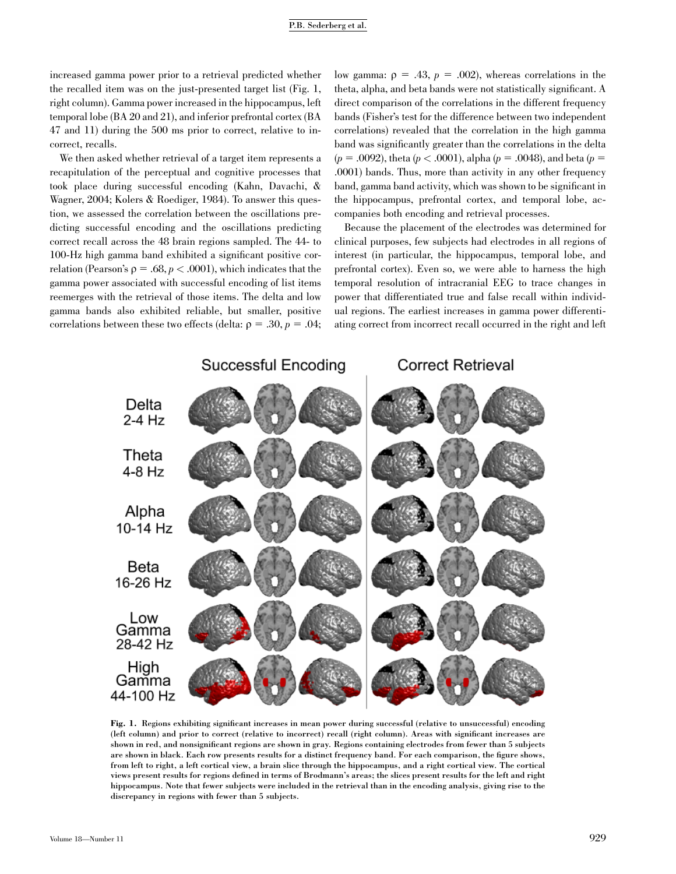increased gamma power prior to a retrieval predicted whether the recalled item was on the just-presented target list (Fig. 1, right column). Gamma power increased in the hippocampus, left temporal lobe (BA 20 and 21), and inferior prefrontal cortex (BA 47 and 11) during the 500 ms prior to correct, relative to incorrect, recalls.

We then asked whether retrieval of a target item represents a recapitulation of the perceptual and cognitive processes that took place during successful encoding (Kahn, Davachi, & Wagner, 2004; Kolers & Roediger, 1984). To answer this question, we assessed the correlation between the oscillations predicting successful encoding and the oscillations predicting correct recall across the 48 brain regions sampled. The 44- to 100-Hz high gamma band exhibited a significant positive correlation (Pearson's  $\rho = .68$ ,  $p < .0001$ ), which indicates that the gamma power associated with successful encoding of list items reemerges with the retrieval of those items. The delta and low gamma bands also exhibited reliable, but smaller, positive correlations between these two effects (delta:  $\rho = .30, p = .04;$  low gamma:  $\rho = .43$ ,  $p = .002$ ), whereas correlations in the theta, alpha, and beta bands were not statistically significant. A direct comparison of the correlations in the different frequency bands (Fisher's test for the difference between two independent correlations) revealed that the correlation in the high gamma band was significantly greater than the correlations in the delta  $(p = .0092)$ , theta  $(p < .0001)$ , alpha  $(p = .0048)$ , and beta  $(p = .0092)$ .0001) bands. Thus, more than activity in any other frequency band, gamma band activity, which was shown to be significant in the hippocampus, prefrontal cortex, and temporal lobe, accompanies both encoding and retrieval processes.

Because the placement of the electrodes was determined for clinical purposes, few subjects had electrodes in all regions of interest (in particular, the hippocampus, temporal lobe, and prefrontal cortex). Even so, we were able to harness the high temporal resolution of intracranial EEG to trace changes in power that differentiated true and false recall within individual regions. The earliest increases in gamma power differentiating correct from incorrect recall occurred in the right and left



Fig. 1. Regions exhibiting significant increases in mean power during successful (relative to unsuccessful) encoding (left column) and prior to correct (relative to incorrect) recall (right column). Areas with significant increases are shown in red, and nonsignificant regions are shown in gray. Regions containing electrodes from fewer than 5 subjects are shown in black. Each row presents results for a distinct frequency band. For each comparison, the figure shows, from left to right, a left cortical view, a brain slice through the hippocampus, and a right cortical view. The cortical views present results for regions defined in terms of Brodmann's areas; the slices present results for the left and right hippocampus. Note that fewer subjects were included in the retrieval than in the encoding analysis, giving rise to the discrepancy in regions with fewer than 5 subjects.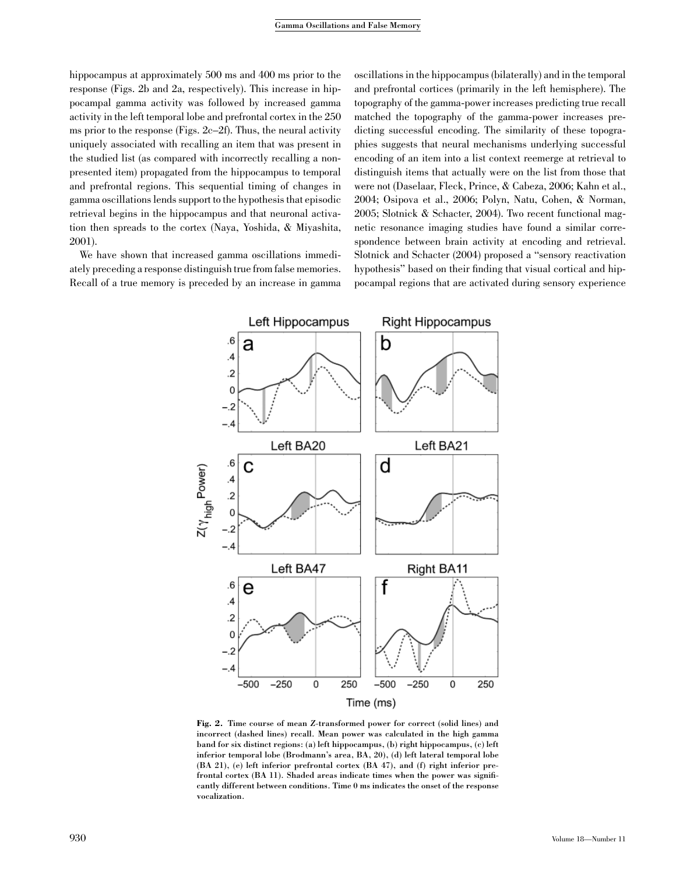hippocampus at approximately 500 ms and 400 ms prior to the response (Figs. 2b and 2a, respectively). This increase in hippocampal gamma activity was followed by increased gamma activity in the left temporal lobe and prefrontal cortex in the 250 ms prior to the response (Figs. 2c–2f). Thus, the neural activity uniquely associated with recalling an item that was present in the studied list (as compared with incorrectly recalling a nonpresented item) propagated from the hippocampus to temporal and prefrontal regions. This sequential timing of changes in gamma oscillations lends support to the hypothesis that episodic retrieval begins in the hippocampus and that neuronal activation then spreads to the cortex (Naya, Yoshida, & Miyashita, 2001).

We have shown that increased gamma oscillations immediately preceding a response distinguish true from false memories. Recall of a true memory is preceded by an increase in gamma oscillations in the hippocampus (bilaterally) and in the temporal and prefrontal cortices (primarily in the left hemisphere). The topography of the gamma-power increases predicting true recall matched the topography of the gamma-power increases predicting successful encoding. The similarity of these topographies suggests that neural mechanisms underlying successful encoding of an item into a list context reemerge at retrieval to distinguish items that actually were on the list from those that were not (Daselaar, Fleck, Prince, & Cabeza, 2006; Kahn et al., 2004; Osipova et al., 2006; Polyn, Natu, Cohen, & Norman, 2005; Slotnick & Schacter, 2004). Two recent functional magnetic resonance imaging studies have found a similar correspondence between brain activity at encoding and retrieval. Slotnick and Schacter (2004) proposed a ''sensory reactivation hypothesis'' based on their finding that visual cortical and hippocampal regions that are activated during sensory experience



Fig. 2. Time course of mean Z-transformed power for correct (solid lines) and incorrect (dashed lines) recall. Mean power was calculated in the high gamma band for six distinct regions: (a) left hippocampus, (b) right hippocampus, (c) left inferior temporal lobe (Brodmann's area, BA, 20), (d) left lateral temporal lobe (BA 21), (e) left inferior prefrontal cortex (BA 47), and (f) right inferior prefrontal cortex (BA 11). Shaded areas indicate times when the power was significantly different between conditions. Time 0 ms indicates the onset of the response vocalization.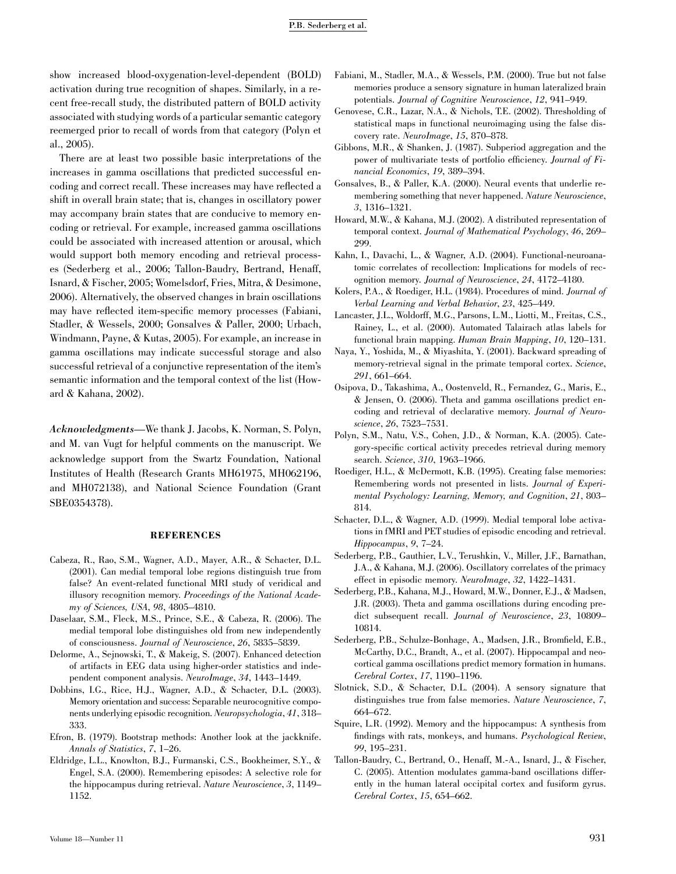show increased blood-oxygenation-level-dependent (BOLD) activation during true recognition of shapes. Similarly, in a recent free-recall study, the distributed pattern of BOLD activity associated with studying words of a particular semantic category reemerged prior to recall of words from that category (Polyn et al., 2005).

There are at least two possible basic interpretations of the increases in gamma oscillations that predicted successful encoding and correct recall. These increases may have reflected a shift in overall brain state; that is, changes in oscillatory power may accompany brain states that are conducive to memory encoding or retrieval. For example, increased gamma oscillations could be associated with increased attention or arousal, which would support both memory encoding and retrieval processes (Sederberg et al., 2006; Tallon-Baudry, Bertrand, Henaff, Isnard, & Fischer, 2005; Womelsdorf, Fries, Mitra, & Desimone, 2006). Alternatively, the observed changes in brain oscillations may have reflected item-specific memory processes (Fabiani, Stadler, & Wessels, 2000; Gonsalves & Paller, 2000; Urbach, Windmann, Payne, & Kutas, 2005). For example, an increase in gamma oscillations may indicate successful storage and also successful retrieval of a conjunctive representation of the item's semantic information and the temporal context of the list (Howard & Kahana, 2002).

Acknowledgments—We thank J. Jacobs, K. Norman, S. Polyn, and M. van Vugt for helpful comments on the manuscript. We acknowledge support from the Swartz Foundation, National Institutes of Health (Research Grants MH61975, MH062196, and MH072138), and National Science Foundation (Grant SBE0354378).

#### REFERENCES

- Cabeza, R., Rao, S.M., Wagner, A.D., Mayer, A.R., & Schacter, D.L. (2001). Can medial temporal lobe regions distinguish true from false? An event-related functional MRI study of veridical and illusory recognition memory. Proceedings of the National Academy of Sciences, USA, 98, 4805–4810.
- Daselaar, S.M., Fleck, M.S., Prince, S.E., & Cabeza, R. (2006). The medial temporal lobe distinguishes old from new independently of consciousness. Journal of Neuroscience, 26, 5835–5839.
- Delorme, A., Sejnowski, T., & Makeig, S. (2007). Enhanced detection of artifacts in EEG data using higher-order statistics and independent component analysis. NeuroImage, 34, 1443–1449.
- Dobbins, I.G., Rice, H.J., Wagner, A.D., & Schacter, D.L. (2003). Memory orientation and success: Separable neurocognitive components underlying episodic recognition. Neuropsychologia, 41, 318– 333.
- Efron, B. (1979). Bootstrap methods: Another look at the jackknife. Annals of Statistics, 7, 1–26.
- Eldridge, L.L., Knowlton, B.J., Furmanski, C.S., Bookheimer, S.Y., & Engel, S.A. (2000). Remembering episodes: A selective role for the hippocampus during retrieval. Nature Neuroscience, 3, 1149– 1152.
- Fabiani, M., Stadler, M.A., & Wessels, P.M. (2000). True but not false memories produce a sensory signature in human lateralized brain potentials. Journal of Cognitive Neuroscience, 12, 941–949.
- Genovese, C.R., Lazar, N.A., & Nichols, T.E. (2002). Thresholding of statistical maps in functional neuroimaging using the false discovery rate. NeuroImage, 15, 870–878.
- Gibbons, M.R., & Shanken, J. (1987). Subperiod aggregation and the power of multivariate tests of portfolio efficiency. Journal of Financial Economics, 19, 389–394.
- Gonsalves, B., & Paller, K.A. (2000). Neural events that underlie remembering something that never happened. Nature Neuroscience, 3, 1316–1321.
- Howard, M.W., & Kahana, M.J. (2002). A distributed representation of temporal context. Journal of Mathematical Psychology, 46, 269– 299.
- Kahn, I., Davachi, L., & Wagner, A.D. (2004). Functional-neuroanatomic correlates of recollection: Implications for models of recognition memory. Journal of Neuroscience, 24, 4172–4180.
- Kolers, P.A., & Roediger, H.L. (1984). Procedures of mind. Journal of Verbal Learning and Verbal Behavior, 23, 425–449.
- Lancaster, J.L., Woldorff, M.G., Parsons, L.M., Liotti, M., Freitas, C.S., Rainey, L., et al. (2000). Automated Talairach atlas labels for functional brain mapping. Human Brain Mapping, 10, 120–131.
- Naya, Y., Yoshida, M., & Miyashita, Y. (2001). Backward spreading of memory-retrieval signal in the primate temporal cortex. Science, 291, 661–664.
- Osipova, D., Takashima, A., Oostenveld, R., Fernandez, G., Maris, E., & Jensen, O. (2006). Theta and gamma oscillations predict encoding and retrieval of declarative memory. Journal of Neuroscience, 26, 7523–7531.
- Polyn, S.M., Natu, V.S., Cohen, J.D., & Norman, K.A. (2005). Category-specific cortical activity precedes retrieval during memory search. Science, 310, 1963–1966.
- Roediger, H.L., & McDermott, K.B. (1995). Creating false memories: Remembering words not presented in lists. Journal of Experimental Psychology: Learning, Memory, and Cognition, 21, 803– 814.
- Schacter, D.L., & Wagner, A.D. (1999). Medial temporal lobe activations in fMRI and PET studies of episodic encoding and retrieval. Hippocampus, 9, 7–24.
- Sederberg, P.B., Gauthier, L.V., Terushkin, V., Miller, J.F., Barnathan, J.A., & Kahana, M.J. (2006). Oscillatory correlates of the primacy effect in episodic memory. NeuroImage, 32, 1422–1431.
- Sederberg, P.B., Kahana, M.J., Howard, M.W., Donner, E.J., & Madsen, J.R. (2003). Theta and gamma oscillations during encoding predict subsequent recall. Journal of Neuroscience, 23, 10809– 10814.
- Sederberg, P.B., Schulze-Bonhage, A., Madsen, J.R., Bromfield, E.B., McCarthy, D.C., Brandt, A., et al. (2007). Hippocampal and neocortical gamma oscillations predict memory formation in humans. Cerebral Cortex, 17, 1190–1196.
- Slotnick, S.D., & Schacter, D.L. (2004). A sensory signature that distinguishes true from false memories. Nature Neuroscience, 7, 664–672.
- Squire, L.R. (1992). Memory and the hippocampus: A synthesis from findings with rats, monkeys, and humans. Psychological Review, 99, 195–231.
- Tallon-Baudry, C., Bertrand, O., Henaff, M.-A., Isnard, J., & Fischer, C. (2005). Attention modulates gamma-band oscillations differently in the human lateral occipital cortex and fusiform gyrus. Cerebral Cortex, 15, 654–662.